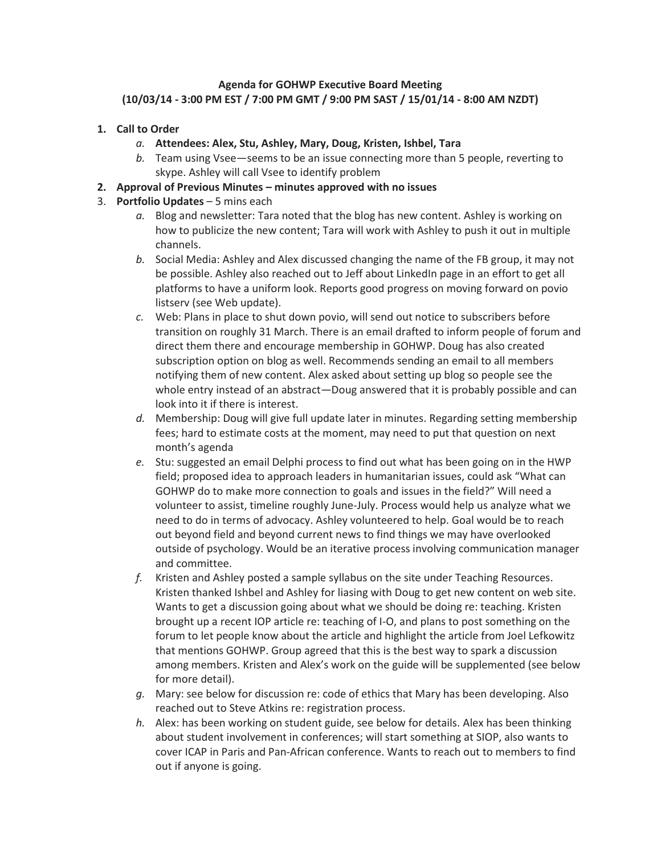## **Agenda for GOHWP Executive Board Meeting (10/03/14 - 3:00 PM EST / 7:00 PM GMT / 9:00 PM SAST / 15/01/14 - 8:00 AM NZDT)**

- **1. Call to Order**
	- *a.* **Attendees: Alex, Stu, Ashley, Mary, Doug, Kristen, Ishbel, Tara**
	- *b.* Team using Vsee—seems to be an issue connecting more than 5 people, reverting to skype. Ashley will call Vsee to identify problem

## **2. Approval of Previous Minutes – minutes approved with no issues**

## 3. **Portfolio Updates** – 5 mins each

- *a.* Blog and newsletter: Tara noted that the blog has new content. Ashley is working on how to publicize the new content; Tara will work with Ashley to push it out in multiple channels.
- *b.* Social Media: Ashley and Alex discussed changing the name of the FB group, it may not be possible. Ashley also reached out to Jeff about LinkedIn page in an effort to get all platforms to have a uniform look. Reports good progress on moving forward on povio listserv (see Web update).
- *c.* Web: Plans in place to shut down povio, will send out notice to subscribers before transition on roughly 31 March. There is an email drafted to inform people of forum and direct them there and encourage membership in GOHWP. Doug has also created subscription option on blog as well. Recommends sending an email to all members notifying them of new content. Alex asked about setting up blog so people see the whole entry instead of an abstract—Doug answered that it is probably possible and can look into it if there is interest.
- *d.* Membership: Doug will give full update later in minutes. Regarding setting membership fees; hard to estimate costs at the moment, may need to put that question on next month's agenda
- *e.* Stu: suggested an email Delphi process to find out what has been going on in the HWP field; proposed idea to approach leaders in humanitarian issues, could ask "What can GOHWP do to make more connection to goals and issues in the field?" Will need a volunteer to assist, timeline roughly June-July. Process would help us analyze what we need to do in terms of advocacy. Ashley volunteered to help. Goal would be to reach out beyond field and beyond current news to find things we may have overlooked outside of psychology. Would be an iterative process involving communication manager and committee.
- *f.* Kristen and Ashley posted a sample syllabus on the site under Teaching Resources. Kristen thanked Ishbel and Ashley for liasing with Doug to get new content on web site. Wants to get a discussion going about what we should be doing re: teaching. Kristen brought up a recent IOP article re: teaching of I-O, and plans to post something on the forum to let people know about the article and highlight the article from Joel Lefkowitz that mentions GOHWP. Group agreed that this is the best way to spark a discussion among members. Kristen and Alex's work on the guide will be supplemented (see below for more detail).
- *g.* Mary: see below for discussion re: code of ethics that Mary has been developing. Also reached out to Steve Atkins re: registration process.
- *h.* Alex: has been working on student guide, see below for details. Alex has been thinking about student involvement in conferences; will start something at SIOP, also wants to cover ICAP in Paris and Pan-African conference. Wants to reach out to members to find out if anyone is going.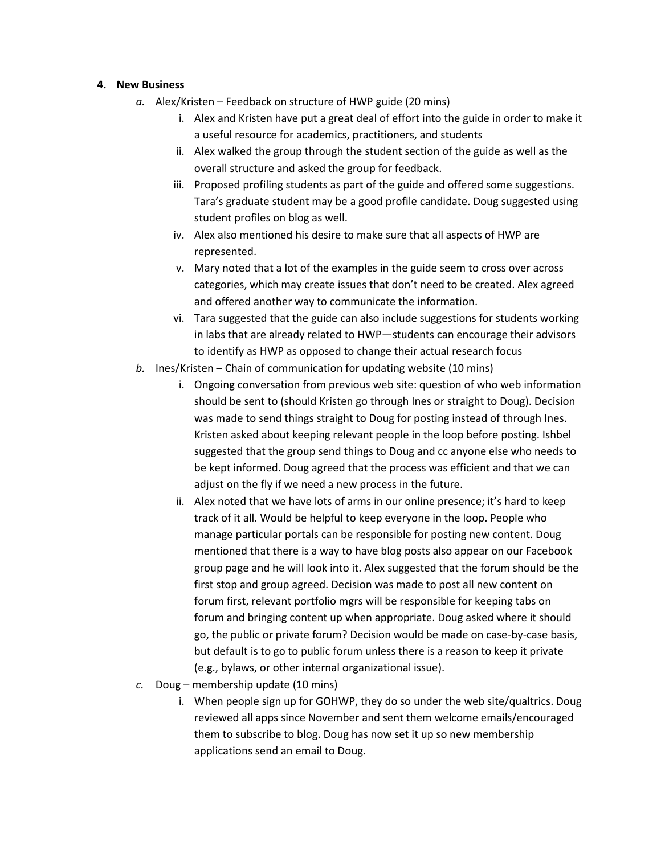## **4. New Business**

- *a.* Alex/Kristen Feedback on structure of HWP guide (20 mins)
	- i. Alex and Kristen have put a great deal of effort into the guide in order to make it a useful resource for academics, practitioners, and students
	- ii. Alex walked the group through the student section of the guide as well as the overall structure and asked the group for feedback.
	- iii. Proposed profiling students as part of the guide and offered some suggestions. Tara's graduate student may be a good profile candidate. Doug suggested using student profiles on blog as well.
	- iv. Alex also mentioned his desire to make sure that all aspects of HWP are represented.
	- v. Mary noted that a lot of the examples in the guide seem to cross over across categories, which may create issues that don't need to be created. Alex agreed and offered another way to communicate the information.
	- vi. Tara suggested that the guide can also include suggestions for students working in labs that are already related to HWP—students can encourage their advisors to identify as HWP as opposed to change their actual research focus
- *b.* Ines/Kristen Chain of communication for updating website (10 mins)
	- i. Ongoing conversation from previous web site: question of who web information should be sent to (should Kristen go through Ines or straight to Doug). Decision was made to send things straight to Doug for posting instead of through Ines. Kristen asked about keeping relevant people in the loop before posting. Ishbel suggested that the group send things to Doug and cc anyone else who needs to be kept informed. Doug agreed that the process was efficient and that we can adjust on the fly if we need a new process in the future.
	- ii. Alex noted that we have lots of arms in our online presence; it's hard to keep track of it all. Would be helpful to keep everyone in the loop. People who manage particular portals can be responsible for posting new content. Doug mentioned that there is a way to have blog posts also appear on our Facebook group page and he will look into it. Alex suggested that the forum should be the first stop and group agreed. Decision was made to post all new content on forum first, relevant portfolio mgrs will be responsible for keeping tabs on forum and bringing content up when appropriate. Doug asked where it should go, the public or private forum? Decision would be made on case-by-case basis, but default is to go to public forum unless there is a reason to keep it private (e.g., bylaws, or other internal organizational issue).
- *c.* Doug membership update (10 mins)
	- i. When people sign up for GOHWP, they do so under the web site/qualtrics. Doug reviewed all apps since November and sent them welcome emails/encouraged them to subscribe to blog. Doug has now set it up so new membership applications send an email to Doug.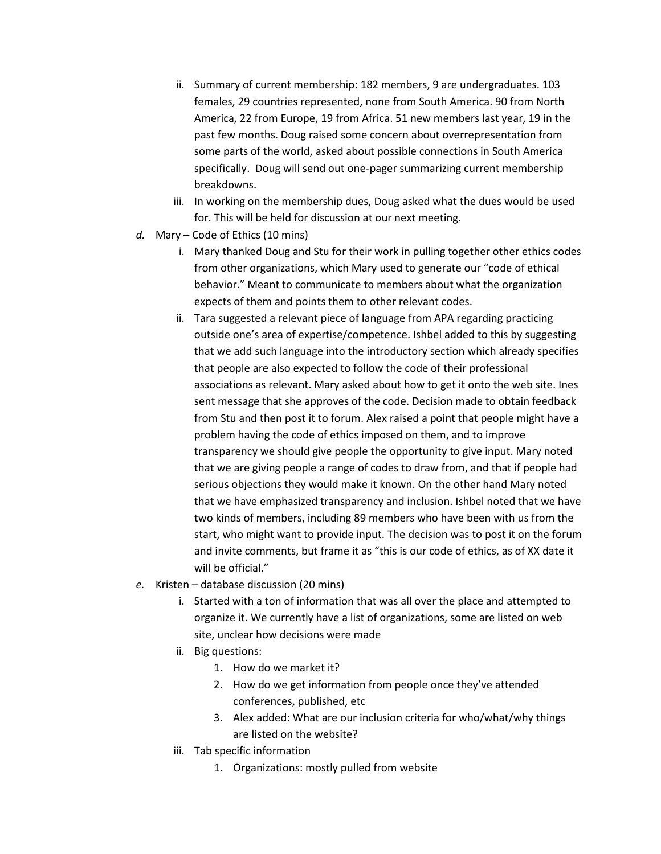- ii. Summary of current membership: 182 members, 9 are undergraduates. 103 females, 29 countries represented, none from South America. 90 from North America, 22 from Europe, 19 from Africa. 51 new members last year, 19 in the past few months. Doug raised some concern about overrepresentation from some parts of the world, asked about possible connections in South America specifically. Doug will send out one-pager summarizing current membership breakdowns.
- iii. In working on the membership dues, Doug asked what the dues would be used for. This will be held for discussion at our next meeting.
- *d.* Mary Code of Ethics (10 mins)
	- i. Mary thanked Doug and Stu for their work in pulling together other ethics codes from other organizations, which Mary used to generate our "code of ethical behavior." Meant to communicate to members about what the organization expects of them and points them to other relevant codes.
	- ii. Tara suggested a relevant piece of language from APA regarding practicing outside one's area of expertise/competence. Ishbel added to this by suggesting that we add such language into the introductory section which already specifies that people are also expected to follow the code of their professional associations as relevant. Mary asked about how to get it onto the web site. Ines sent message that she approves of the code. Decision made to obtain feedback from Stu and then post it to forum. Alex raised a point that people might have a problem having the code of ethics imposed on them, and to improve transparency we should give people the opportunity to give input. Mary noted that we are giving people a range of codes to draw from, and that if people had serious objections they would make it known. On the other hand Mary noted that we have emphasized transparency and inclusion. Ishbel noted that we have two kinds of members, including 89 members who have been with us from the start, who might want to provide input. The decision was to post it on the forum and invite comments, but frame it as "this is our code of ethics, as of XX date it will be official."
- *e.* Kristen database discussion (20 mins)
	- i. Started with a ton of information that was all over the place and attempted to organize it. We currently have a list of organizations, some are listed on web site, unclear how decisions were made
	- ii. Big questions:
		- 1. How do we market it?
		- 2. How do we get information from people once they've attended conferences, published, etc
		- 3. Alex added: What are our inclusion criteria for who/what/why things are listed on the website?
	- iii. Tab specific information
		- 1. Organizations: mostly pulled from website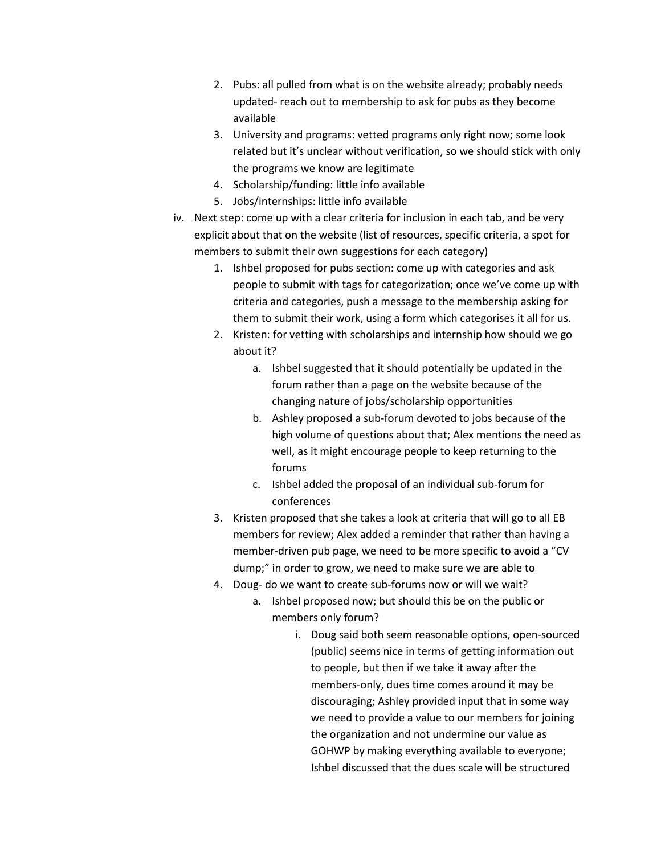- 2. Pubs: all pulled from what is on the website already; probably needs updated- reach out to membership to ask for pubs as they become available
- 3. University and programs: vetted programs only right now; some look related but it's unclear without verification, so we should stick with only the programs we know are legitimate
- 4. Scholarship/funding: little info available
- 5. Jobs/internships: little info available
- iv. Next step: come up with a clear criteria for inclusion in each tab, and be very explicit about that on the website (list of resources, specific criteria, a spot for members to submit their own suggestions for each category)
	- 1. Ishbel proposed for pubs section: come up with categories and ask people to submit with tags for categorization; once we've come up with criteria and categories, push a message to the membership asking for them to submit their work, using a form which categorises it all for us.
	- 2. Kristen: for vetting with scholarships and internship how should we go about it?
		- a. Ishbel suggested that it should potentially be updated in the forum rather than a page on the website because of the changing nature of jobs/scholarship opportunities
		- b. Ashley proposed a sub-forum devoted to jobs because of the high volume of questions about that; Alex mentions the need as well, as it might encourage people to keep returning to the forums
		- c. Ishbel added the proposal of an individual sub-forum for conferences
	- 3. Kristen proposed that she takes a look at criteria that will go to all EB members for review; Alex added a reminder that rather than having a member-driven pub page, we need to be more specific to avoid a "CV dump;" in order to grow, we need to make sure we are able to
	- 4. Doug- do we want to create sub-forums now or will we wait?
		- a. Ishbel proposed now; but should this be on the public or members only forum?
			- i. Doug said both seem reasonable options, open-sourced (public) seems nice in terms of getting information out to people, but then if we take it away after the members-only, dues time comes around it may be discouraging; Ashley provided input that in some way we need to provide a value to our members for joining the organization and not undermine our value as GOHWP by making everything available to everyone; Ishbel discussed that the dues scale will be structured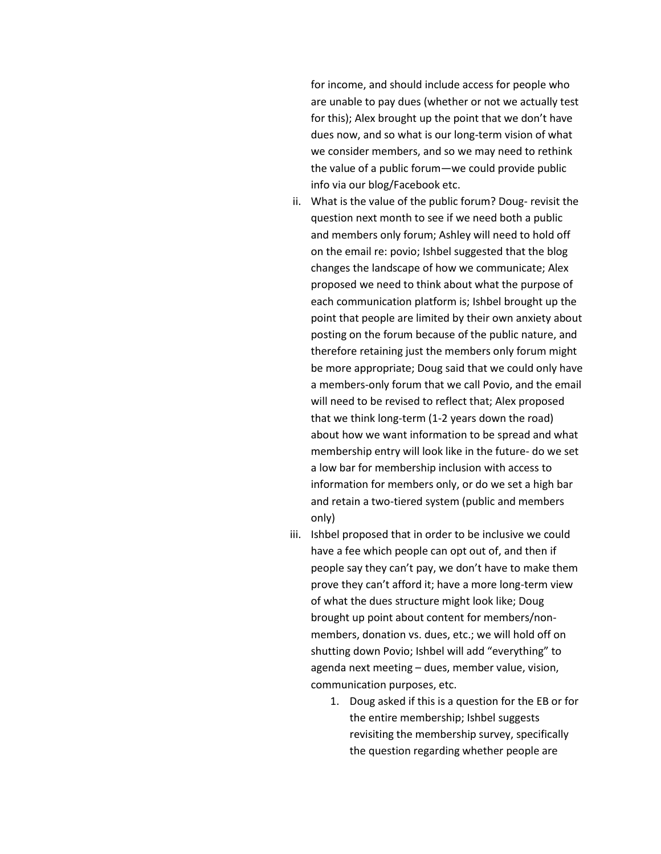for income, and should include access for people who are unable to pay dues (whether or not we actually test for this); Alex brought up the point that we don't have dues now, and so what is our long-term vision of what we consider members, and so we may need to rethink the value of a public forum—we could provide public info via our blog/Facebook etc.

- ii. What is the value of the public forum? Doug- revisit the question next month to see if we need both a public and members only forum; Ashley will need to hold off on the email re: povio; Ishbel suggested that the blog changes the landscape of how we communicate; Alex proposed we need to think about what the purpose of each communication platform is; Ishbel brought up the point that people are limited by their own anxiety about posting on the forum because of the public nature, and therefore retaining just the members only forum might be more appropriate; Doug said that we could only have a members-only forum that we call Povio, and the email will need to be revised to reflect that; Alex proposed that we think long-term (1-2 years down the road) about how we want information to be spread and what membership entry will look like in the future- do we set a low bar for membership inclusion with access to information for members only, or do we set a high bar and retain a two-tiered system (public and members only)
- iii. Ishbel proposed that in order to be inclusive we could have a fee which people can opt out of, and then if people say they can't pay, we don't have to make them prove they can't afford it; have a more long-term view of what the dues structure might look like; Doug brought up point about content for members/nonmembers, donation vs. dues, etc.; we will hold off on shutting down Povio; Ishbel will add "everything" to agenda next meeting – dues, member value, vision, communication purposes, etc.
	- 1. Doug asked if this is a question for the EB or for the entire membership; Ishbel suggests revisiting the membership survey, specifically the question regarding whether people are